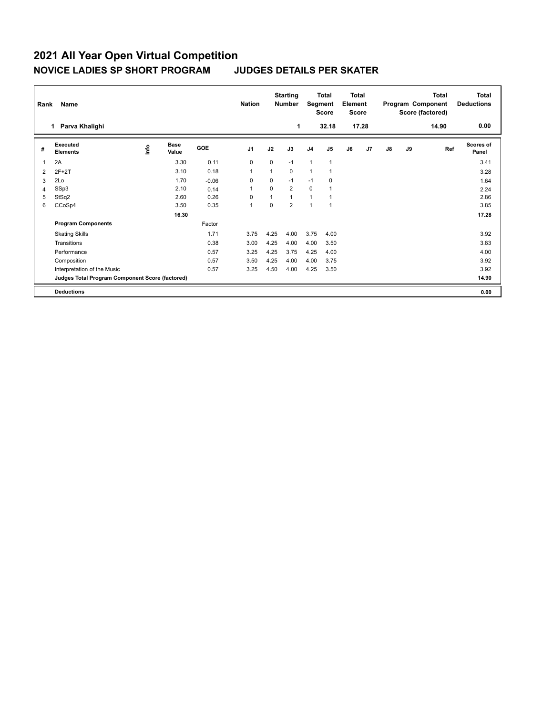## **2021 All Year Open Virtual Competition NOVICE LADIES SP SHORT PROGRAM JUDGES DETAILS PER SKATER**

|                | Name<br>Rank                                    |    |                      |            |                |          | <b>Starting</b><br><b>Number</b> |                | <b>Total</b><br><b>Total</b><br>Segment<br>Element<br><b>Score</b><br><b>Score</b> |    | <b>Total</b><br>Program Component<br>Score (factored) |               |    | <b>Total</b><br><b>Deductions</b> |                           |
|----------------|-------------------------------------------------|----|----------------------|------------|----------------|----------|----------------------------------|----------------|------------------------------------------------------------------------------------|----|-------------------------------------------------------|---------------|----|-----------------------------------|---------------------------|
|                | Parva Khalighi<br>1                             |    |                      |            |                |          | 1                                |                | 32.18                                                                              |    | 17.28                                                 |               |    | 14.90                             | 0.00                      |
| #              | <b>Executed</b><br><b>Elements</b>              | ۴ô | <b>Base</b><br>Value | <b>GOE</b> | J <sub>1</sub> | J2       | J3                               | J <sub>4</sub> | J <sub>5</sub>                                                                     | J6 | J7                                                    | $\mathsf{J}8$ | J9 | Ref                               | <b>Scores of</b><br>Panel |
|                | 2A                                              |    | 3.30                 | 0.11       | 0              | 0        | $-1$                             | $\mathbf{1}$   | $\mathbf{1}$                                                                       |    |                                                       |               |    |                                   | 3.41                      |
| $\overline{2}$ | $2F+2T$                                         |    | 3.10                 | 0.18       | 1              | 1        | $\Omega$                         | $\mathbf{1}$   |                                                                                    |    |                                                       |               |    |                                   | 3.28                      |
| 3              | 2Lo                                             |    | 1.70                 | $-0.06$    | $\Omega$       | 0        | $-1$                             | $-1$           | 0                                                                                  |    |                                                       |               |    |                                   | 1.64                      |
| 4              | SSp3                                            |    | 2.10                 | 0.14       | 1              | $\Omega$ | $\overline{2}$                   | $\mathbf 0$    |                                                                                    |    |                                                       |               |    |                                   | 2.24                      |
| 5              | StSq2                                           |    | 2.60                 | 0.26       | 0              | 1        | $\mathbf{1}$                     | $\mathbf{1}$   |                                                                                    |    |                                                       |               |    |                                   | 2.86                      |
| 6              | CCoSp4                                          |    | 3.50                 | 0.35       | 1              | 0        | $\overline{2}$                   | 1              | $\overline{1}$                                                                     |    |                                                       |               |    |                                   | 3.85                      |
|                |                                                 |    | 16.30                |            |                |          |                                  |                |                                                                                    |    |                                                       |               |    |                                   | 17.28                     |
|                | <b>Program Components</b>                       |    |                      | Factor     |                |          |                                  |                |                                                                                    |    |                                                       |               |    |                                   |                           |
|                | <b>Skating Skills</b>                           |    |                      | 1.71       | 3.75           | 4.25     | 4.00                             | 3.75           | 4.00                                                                               |    |                                                       |               |    |                                   | 3.92                      |
|                | Transitions                                     |    |                      | 0.38       | 3.00           | 4.25     | 4.00                             | 4.00           | 3.50                                                                               |    |                                                       |               |    |                                   | 3.83                      |
|                | Performance                                     |    |                      | 0.57       | 3.25           | 4.25     | 3.75                             | 4.25           | 4.00                                                                               |    |                                                       |               |    |                                   | 4.00                      |
|                | Composition                                     |    |                      | 0.57       | 3.50           | 4.25     | 4.00                             | 4.00           | 3.75                                                                               |    |                                                       |               |    |                                   | 3.92                      |
|                | Interpretation of the Music                     |    |                      | 0.57       | 3.25           | 4.50     | 4.00                             | 4.25           | 3.50                                                                               |    |                                                       |               |    |                                   | 3.92                      |
|                | Judges Total Program Component Score (factored) |    |                      |            |                |          |                                  |                |                                                                                    |    |                                                       |               |    |                                   | 14.90                     |
|                | <b>Deductions</b>                               |    |                      |            |                |          |                                  |                |                                                                                    |    |                                                       |               |    |                                   | 0.00                      |